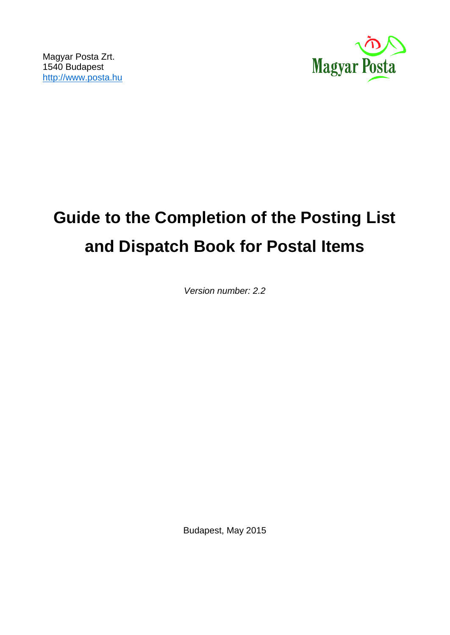

# **Guide to the Completion of the Posting List and Dispatch Book for Postal Items**

*Version number: 2.2*

Budapest, May 2015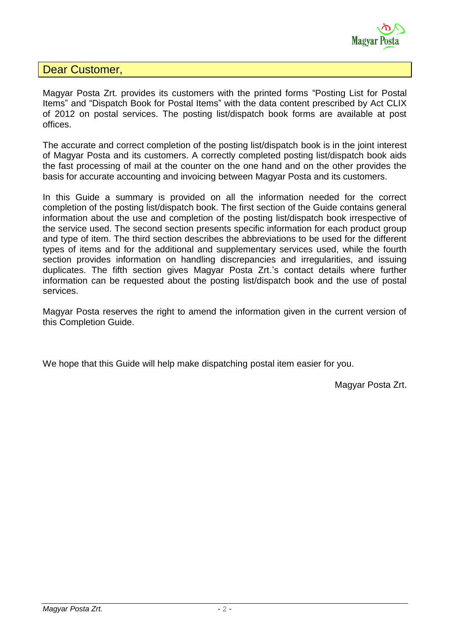

### Dear Customer,

Magyar Posta Zrt. provides its customers with the printed forms "Posting List for Postal Items" and "Dispatch Book for Postal Items" with the data content prescribed by Act CLIX of 2012 on postal services. The posting list/dispatch book forms are available at post offices.

The accurate and correct completion of the posting list/dispatch book is in the joint interest of Magyar Posta and its customers. A correctly completed posting list/dispatch book aids the fast processing of mail at the counter on the one hand and on the other provides the basis for accurate accounting and invoicing between Magyar Posta and its customers.

In this Guide a summary is provided on all the information needed for the correct completion of the posting list/dispatch book. The first section of the Guide contains general information about the use and completion of the posting list/dispatch book irrespective of the service used. The second section presents specific information for each product group and type of item. The third section describes the abbreviations to be used for the different types of items and for the additional and supplementary services used, while the fourth section provides information on handling discrepancies and irregularities, and issuing duplicates. The fifth section gives Magyar Posta Zrt.'s contact details where further information can be requested about the posting list/dispatch book and the use of postal services.

Magyar Posta reserves the right to amend the information given in the current version of this Completion Guide.

We hope that this Guide will help make dispatching postal item easier for you.

Magyar Posta Zrt.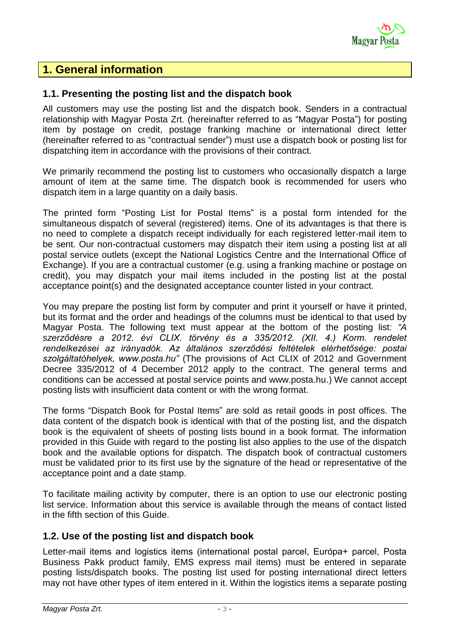

## **1. General information**

#### **1.1. Presenting the posting list and the dispatch book**

All customers may use the posting list and the dispatch book. Senders in a contractual relationship with Magyar Posta Zrt. (hereinafter referred to as "Magyar Posta") for posting item by postage on credit, postage franking machine or international direct letter (hereinafter referred to as "contractual sender") must use a dispatch book or posting list for dispatching item in accordance with the provisions of their contract.

We primarily recommend the posting list to customers who occasionally dispatch a large amount of item at the same time. The dispatch book is recommended for users who dispatch item in a large quantity on a daily basis.

The printed form "Posting List for Postal Items" is a postal form intended for the simultaneous dispatch of several (registered) items. One of its advantages is that there is no need to complete a dispatch receipt individually for each registered letter-mail item to be sent. Our non-contractual customers may dispatch their item using a posting list at all postal service outlets (except the National Logistics Centre and the International Office of Exchange). If you are a contractual customer (e.g. using a franking machine or postage on credit), you may dispatch your mail items included in the posting list at the postal acceptance point(s) and the designated acceptance counter listed in your contract.

You may prepare the posting list form by computer and print it yourself or have it printed, but its format and the order and headings of the columns must be identical to that used by Magyar Posta. The following text must appear at the bottom of the posting list: *"A szerződésre a 2012. évi CLIX. törvény és a 335/2012. (XII. 4.) Korm. rendelet rendelkezései az irányadók. Az általános szerződési feltételek elérhetősége: postai szolgáltatóhelyek, www.posta.hu"* (The provisions of Act CLIX of 2012 and Government Decree 335/2012 of 4 December 2012 apply to the contract. The general terms and conditions can be accessed at postal service points and www.posta.hu.) We cannot accept posting lists with insufficient data content or with the wrong format.

The forms "Dispatch Book for Postal Items" are sold as retail goods in post offices. The data content of the dispatch book is identical with that of the posting list, and the dispatch book is the equivalent of sheets of posting lists bound in a book format. The information provided in this Guide with regard to the posting list also applies to the use of the dispatch book and the available options for dispatch. The dispatch book of contractual customers must be validated prior to its first use by the signature of the head or representative of the acceptance point and a date stamp.

To facilitate mailing activity by computer, there is an option to use our electronic posting list service. Information about this service is available through the means of contact listed in the fifth section of this Guide.

#### **1.2. Use of the posting list and dispatch book**

Letter-mail items and logistics items (international postal parcel, Európa+ parcel, Posta Business Pakk product family, EMS express mail items) must be entered in separate posting lists/dispatch books. The posting list used for posting international direct letters may not have other types of item entered in it. Within the logistics items a separate posting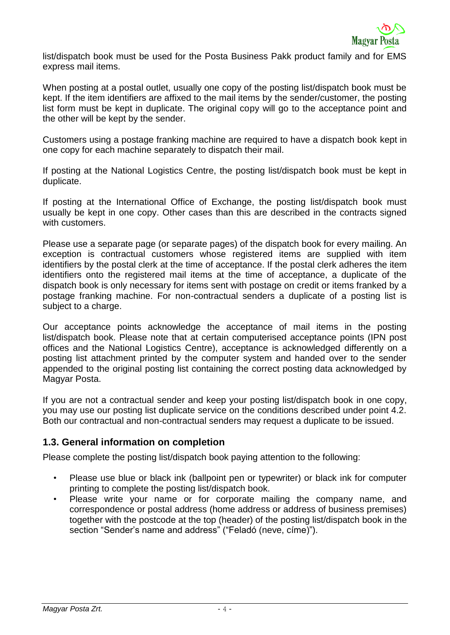list/dispatch book must be used for the Posta Business Pakk product family and for EMS express mail items.

When posting at a postal outlet, usually one copy of the posting list/dispatch book must be kept. If the item identifiers are affixed to the mail items by the sender/customer, the posting list form must be kept in duplicate. The original copy will go to the acceptance point and the other will be kept by the sender.

Customers using a postage franking machine are required to have a dispatch book kept in one copy for each machine separately to dispatch their mail.

If posting at the National Logistics Centre, the posting list/dispatch book must be kept in duplicate.

If posting at the International Office of Exchange, the posting list/dispatch book must usually be kept in one copy. Other cases than this are described in the contracts signed with customers.

Please use a separate page (or separate pages) of the dispatch book for every mailing. An exception is contractual customers whose registered items are supplied with item identifiers by the postal clerk at the time of acceptance. If the postal clerk adheres the item identifiers onto the registered mail items at the time of acceptance, a duplicate of the dispatch book is only necessary for items sent with postage on credit or items franked by a postage franking machine. For non-contractual senders a duplicate of a posting list is subject to a charge.

Our acceptance points acknowledge the acceptance of mail items in the posting list/dispatch book. Please note that at certain computerised acceptance points (IPN post offices and the National Logistics Centre), acceptance is acknowledged differently on a posting list attachment printed by the computer system and handed over to the sender appended to the original posting list containing the correct posting data acknowledged by Magyar Posta.

If you are not a contractual sender and keep your posting list/dispatch book in one copy, you may use our posting list duplicate service on the conditions described under point 4.2. Both our contractual and non-contractual senders may request a duplicate to be issued.

### **1.3. General information on completion**

Please complete the posting list/dispatch book paying attention to the following:

- Please use blue or black ink (ballpoint pen or typewriter) or black ink for computer printing to complete the posting list/dispatch book.
- Please write your name or for corporate mailing the company name, and correspondence or postal address (home address or address of business premises) together with the postcode at the top (header) of the posting list/dispatch book in the section "Sender's name and address" ("Feladó (neve, címe)").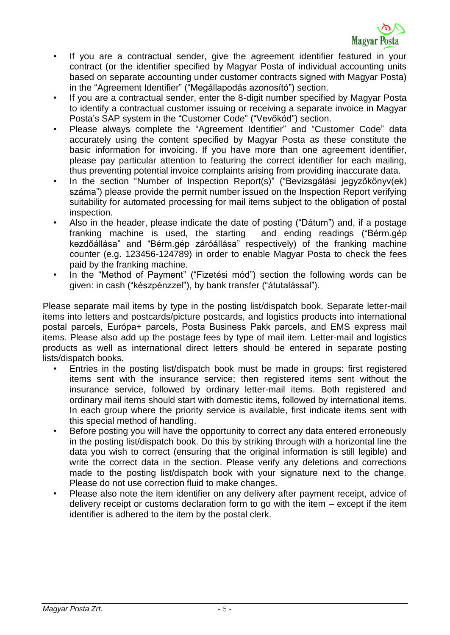- If you are a contractual sender, give the agreement identifier featured in your contract (or the identifier specified by Magyar Posta of individual accounting units based on separate accounting under customer contracts signed with Magyar Posta) in the "Agreement Identifier" ("Megállapodás azonosító") section.
- If you are a contractual sender, enter the 8-digit number specified by Magyar Posta to identify a contractual customer issuing or receiving a separate invoice in Magyar Posta's SAP system in the "Customer Code" ("Vevőkód") section.
- Please always complete the "Agreement Identifier" and "Customer Code" data accurately using the content specified by Magyar Posta as these constitute the basic information for invoicing. If you have more than one agreement identifier, please pay particular attention to featuring the correct identifier for each mailing, thus preventing potential invoice complaints arising from providing inaccurate data.
- In the section "Number of Inspection Report(s)" ("Bevizsgálási jegyzőkönyv(ek) száma") please provide the permit number issued on the Inspection Report verifying suitability for automated processing for mail items subject to the obligation of postal inspection.
- Also in the header, please indicate the date of posting ("Dátum") and, if a postage franking machine is used, the starting and ending readings ("Bérm.gép kezdőállása" and "Bérm.gép záróállása" respectively) of the franking machine counter (e.g. 123456-124789) in order to enable Magyar Posta to check the fees paid by the franking machine.
- In the "Method of Payment" ("Fizetési mód") section the following words can be given: in cash ("készpénzzel"), by bank transfer ("átutalással").

Please separate mail items by type in the posting list/dispatch book. Separate letter-mail items into letters and postcards/picture postcards, and logistics products into international postal parcels, Európa+ parcels, Posta Business Pakk parcels, and EMS express mail items. Please also add up the postage fees by type of mail item. Letter-mail and logistics products as well as international direct letters should be entered in separate posting lists/dispatch books.

- Entries in the posting list/dispatch book must be made in groups: first registered items sent with the insurance service; then registered items sent without the insurance service, followed by ordinary letter-mail items. Both registered and ordinary mail items should start with domestic items, followed by international items. In each group where the priority service is available, first indicate items sent with this special method of handling.
- Before posting you will have the opportunity to correct any data entered erroneously in the posting list/dispatch book. Do this by striking through with a horizontal line the data you wish to correct (ensuring that the original information is still legible) and write the correct data in the section. Please verify any deletions and corrections made to the posting list/dispatch book with your signature next to the change. Please do not use correction fluid to make changes.
- Please also note the item identifier on any delivery after payment receipt, advice of delivery receipt or customs declaration form to go with the item – except if the item identifier is adhered to the item by the postal clerk.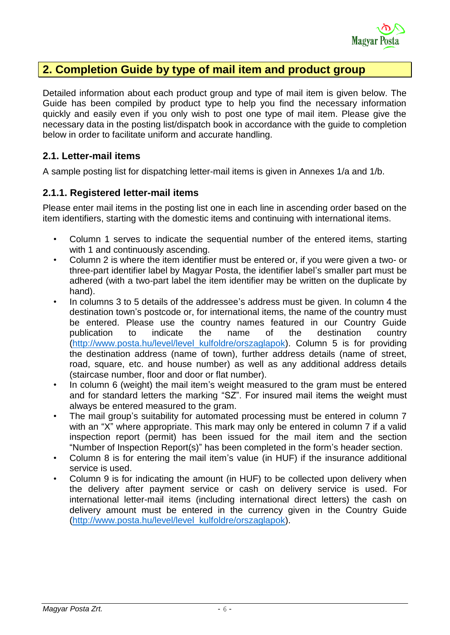# **2. Completion Guide by type of mail item and product group**

Detailed information about each product group and type of mail item is given below. The Guide has been compiled by product type to help you find the necessary information quickly and easily even if you only wish to post one type of mail item. Please give the necessary data in the posting list/dispatch book in accordance with the guide to completion below in order to facilitate uniform and accurate handling.

#### **2.1. Letter-mail items**

A sample posting list for dispatching letter-mail items is given in Annexes 1/a and 1/b.

### **2.1.1. Registered letter-mail items**

Please enter mail items in the posting list one in each line in ascending order based on the item identifiers, starting with the domestic items and continuing with international items.

- Column 1 serves to indicate the sequential number of the entered items, starting with 1 and continuously ascending.
- Column 2 is where the item identifier must be entered or, if you were given a two- or three-part identifier label by Magyar Posta, the identifier label's smaller part must be adhered (with a two-part label the item identifier may be written on the duplicate by hand).
- In columns 3 to 5 details of the addressee's address must be given. In column 4 the destination town's postcode or, for international items, the name of the country must be entered. Please use the country names featured in our Country Guide publication to indicate the name of the destination country [\(http://www.posta.hu/level/level\\_kulfoldre/orszaglapok\)](http://www.posta.hu/level/level_kulfoldre/orszaglapok). Column 5 is for providing the destination address (name of town), further address details (name of street, road, square, etc. and house number) as well as any additional address details (staircase number, floor and door or flat number).
- In column 6 (weight) the mail item's weight measured to the gram must be entered and for standard letters the marking "SZ". For insured mail items the weight must always be entered measured to the gram.
- The mail group's suitability for automated processing must be entered in column 7 with an "X" where appropriate. This mark may only be entered in column 7 if a valid inspection report (permit) has been issued for the mail item and the section "Number of Inspection Report(s)" has been completed in the form's header section.
- Column 8 is for entering the mail item's value (in HUF) if the insurance additional service is used.
- Column 9 is for indicating the amount (in HUF) to be collected upon delivery when the delivery after payment service or cash on delivery service is used. For international letter-mail items (including international direct letters) the cash on delivery amount must be entered in the currency given in the Country Guide [\(http://www.posta.hu/level/level\\_kulfoldre/orszaglapok\)](http://www.posta.hu/level/level_kulfoldre/orszaglapok).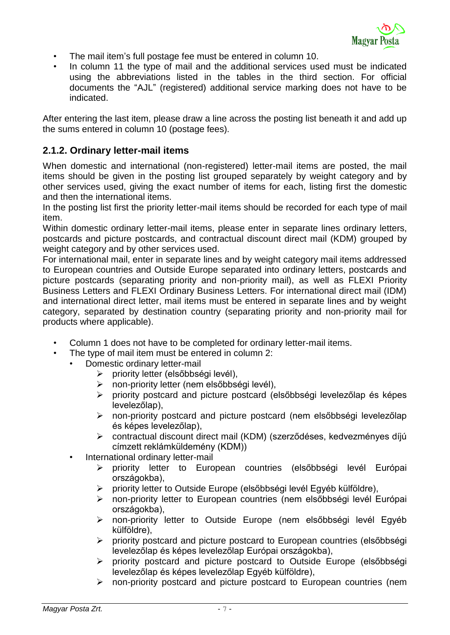- The mail item's full postage fee must be entered in column 10.
- In column 11 the type of mail and the additional services used must be indicated using the abbreviations listed in the tables in the third section. For official documents the "AJL" (registered) additional service marking does not have to be indicated.

After entering the last item, please draw a line across the posting list beneath it and add up the sums entered in column 10 (postage fees).

#### **2.1.2. Ordinary letter-mail items**

When domestic and international (non-registered) letter-mail items are posted, the mail items should be given in the posting list grouped separately by weight category and by other services used, giving the exact number of items for each, listing first the domestic and then the international items.

In the posting list first the priority letter-mail items should be recorded for each type of mail item.

Within domestic ordinary letter-mail items, please enter in separate lines ordinary letters, postcards and picture postcards, and contractual discount direct mail (KDM) grouped by weight category and by other services used.

For international mail, enter in separate lines and by weight category mail items addressed to European countries and Outside Europe separated into ordinary letters, postcards and picture postcards (separating priority and non-priority mail), as well as FLEXI Priority Business Letters and FLEXI Ordinary Business Letters. For international direct mail (IDM) and international direct letter, mail items must be entered in separate lines and by weight category, separated by destination country (separating priority and non-priority mail for products where applicable).

- Column 1 does not have to be completed for ordinary letter-mail items.
- The type of mail item must be entered in column 2:
	- Domestic ordinary letter-mail
		- $\triangleright$  priority letter (elsőbbségi levél),
		- non-priority letter (nem elsőbbségi levél),
		- $\triangleright$  priority postcard and picture postcard (elsőbbségi levelezőlap és képes levelezőlap),
		- non-priority postcard and picture postcard (nem elsőbbségi levelezőlap és képes levelezőlap),
		- contractual discount direct mail (KDM) (szerződéses, kedvezményes díjú címzett reklámküldemény (KDM))
		- International ordinary letter-mail
			- priority letter to European countries (elsőbbségi levél Európai országokba),
			- priority letter to Outside Europe (elsőbbségi levél Egyéb külföldre),
			- non-priority letter to European countries (nem elsőbbségi levél Európai országokba),
			- non-priority letter to Outside Europe (nem elsőbbségi levél Egyéb külföldre),
			- $\triangleright$  priority postcard and picture postcard to European countries (elsőbbségi levelezőlap és képes levelezőlap Európai országokba),
			- priority postcard and picture postcard to Outside Europe (elsőbbségi levelezőlap és képes levelezőlap Egyéb külföldre),
			- non-priority postcard and picture postcard to European countries (nem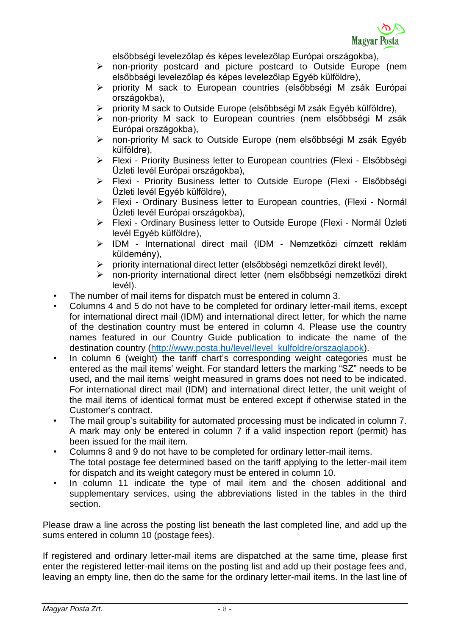elsőbbségi levelezőlap és képes levelezőlap Európai országokba),

- non-priority postcard and picture postcard to Outside Europe (nem elsőbbségi levelezőlap és képes levelezőlap Egyéb külföldre),
- priority M sack to European countries (elsőbbségi M zsák Európai országokba),
- priority M sack to Outside Europe (elsőbbségi M zsák Egyéb külföldre),
- non-priority M sack to European countries (nem elsőbbségi M zsák Európai országokba),
- non-priority M sack to Outside Europe (nem elsőbbségi M zsák Egyéb külföldre),
- Flexi Priority Business letter to European countries (Flexi Elsőbbségi Üzleti levél Európai országokba),
- Flexi Priority Business letter to Outside Europe (Flexi Elsőbbségi Üzleti levél Egyéb külföldre),
- Flexi Ordinary Business letter to European countries, (Flexi Normál Üzleti levél Európai országokba),
- Flexi Ordinary Business letter to Outside Europe (Flexi Normál Üzleti levél Egyéb külföldre),
- IDM International direct mail (IDM Nemzetközi címzett reklám küldemény),
- priority international direct letter (elsőbbségi nemzetközi direkt levél),
- non-priority international direct letter (nem elsőbbségi nemzetközi direkt levél).
- The number of mail items for dispatch must be entered in column 3.
- Columns 4 and 5 do not have to be completed for ordinary letter-mail items, except for international direct mail (IDM) and international direct letter, for which the name of the destination country must be entered in column 4. Please use the country names featured in our Country Guide publication to indicate the name of the destination country [\(http://www.posta.hu/level/level\\_kulfoldre/orszaglapok\)](http://www.posta.hu/level/level_kulfoldre/orszaglapok).
- In column 6 (weight) the tariff chart's corresponding weight categories must be entered as the mail items' weight. For standard letters the marking "SZ" needs to be used, and the mail items' weight measured in grams does not need to be indicated. For international direct mail (IDM) and international direct letter, the unit weight of the mail items of identical format must be entered except if otherwise stated in the Customer's contract.
- The mail group's suitability for automated processing must be indicated in column 7. A mark may only be entered in column 7 if a valid inspection report (permit) has been issued for the mail item.
- Columns 8 and 9 do not have to be completed for ordinary letter-mail items. The total postage fee determined based on the tariff applying to the letter-mail item for dispatch and its weight category must be entered in column 10.
- In column 11 indicate the type of mail item and the chosen additional and supplementary services, using the abbreviations listed in the tables in the third section.

Please draw a line across the posting list beneath the last completed line, and add up the sums entered in column 10 (postage fees).

If registered and ordinary letter-mail items are dispatched at the same time, please first enter the registered letter-mail items on the posting list and add up their postage fees and, leaving an empty line, then do the same for the ordinary letter-mail items. In the last line of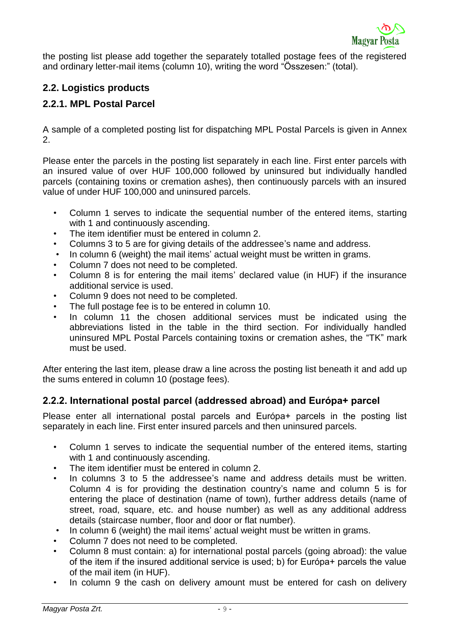

the posting list please add together the separately totalled postage fees of the registered and ordinary letter-mail items (column 10), writing the word "Összesen:" (total).

## **2.2. Logistics products**

## **2.2.1. MPL Postal Parcel**

A sample of a completed posting list for dispatching MPL Postal Parcels is given in Annex 2.

Please enter the parcels in the posting list separately in each line. First enter parcels with an insured value of over HUF 100,000 followed by uninsured but individually handled parcels (containing toxins or cremation ashes), then continuously parcels with an insured value of under HUF 100,000 and uninsured parcels.

- Column 1 serves to indicate the sequential number of the entered items, starting with 1 and continuously ascending.
- The item identifier must be entered in column 2.
- Columns 3 to 5 are for giving details of the addressee's name and address.
- In column 6 (weight) the mail items' actual weight must be written in grams.
- Column 7 does not need to be completed.
- Column 8 is for entering the mail items' declared value (in HUF) if the insurance additional service is used.
- Column 9 does not need to be completed.
- The full postage fee is to be entered in column 10.
- In column 11 the chosen additional services must be indicated using the abbreviations listed in the table in the third section. For individually handled uninsured MPL Postal Parcels containing toxins or cremation ashes, the "TK" mark must be used.

After entering the last item, please draw a line across the posting list beneath it and add up the sums entered in column 10 (postage fees).

#### **2.2.2. International postal parcel (addressed abroad) and Európa+ parcel**

Please enter all international postal parcels and Európa+ parcels in the posting list separately in each line. First enter insured parcels and then uninsured parcels.

- Column 1 serves to indicate the sequential number of the entered items, starting with 1 and continuously ascending.
- The item identifier must be entered in column 2.
- In columns 3 to 5 the addressee's name and address details must be written. Column 4 is for providing the destination country's name and column 5 is for entering the place of destination (name of town), further address details (name of street, road, square, etc. and house number) as well as any additional address details (staircase number, floor and door or flat number).
- In column 6 (weight) the mail items' actual weight must be written in grams.
- Column 7 does not need to be completed.
- Column 8 must contain: a) for international postal parcels (going abroad): the value of the item if the insured additional service is used; b) for Európa+ parcels the value of the mail item (in HUF).
- In column 9 the cash on delivery amount must be entered for cash on delivery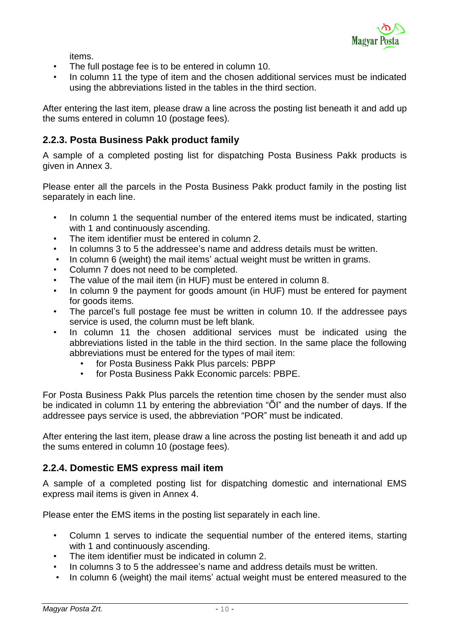

items.

- The full postage fee is to be entered in column 10.
- In column 11 the type of item and the chosen additional services must be indicated using the abbreviations listed in the tables in the third section.

After entering the last item, please draw a line across the posting list beneath it and add up the sums entered in column 10 (postage fees).

#### **2.2.3. Posta Business Pakk product family**

A sample of a completed posting list for dispatching Posta Business Pakk products is given in Annex 3.

Please enter all the parcels in the Posta Business Pakk product family in the posting list separately in each line.

- In column 1 the sequential number of the entered items must be indicated, starting with 1 and continuously ascending.
- The item identifier must be entered in column 2.
- In columns 3 to 5 the addressee's name and address details must be written.
- In column 6 (weight) the mail items' actual weight must be written in grams.
- Column 7 does not need to be completed.
- The value of the mail item (in HUF) must be entered in column 8.
- In column 9 the payment for goods amount (in HUF) must be entered for payment for goods items.
- The parcel's full postage fee must be written in column 10. If the addressee pays service is used, the column must be left blank.
- In column 11 the chosen additional services must be indicated using the abbreviations listed in the table in the third section. In the same place the following abbreviations must be entered for the types of mail item:
	- for Posta Business Pakk Plus parcels: PBPP
	- for Posta Business Pakk Economic parcels: PBPE.

For Posta Business Pakk Plus parcels the retention time chosen by the sender must also be indicated in column 11 by entering the abbreviation "ŐI" and the number of days. If the addressee pays service is used, the abbreviation "POR" must be indicated.

After entering the last item, please draw a line across the posting list beneath it and add up the sums entered in column 10 (postage fees).

#### **2.2.4. Domestic EMS express mail item**

A sample of a completed posting list for dispatching domestic and international EMS express mail items is given in Annex 4.

Please enter the EMS items in the posting list separately in each line.

- Column 1 serves to indicate the sequential number of the entered items, starting with 1 and continuously ascending.
- The item identifier must be indicated in column 2.
- In columns 3 to 5 the addressee's name and address details must be written.
- In column 6 (weight) the mail items' actual weight must be entered measured to the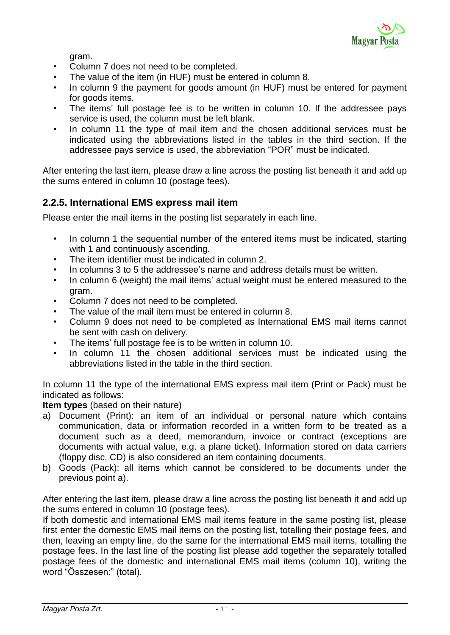

gram.

- Column 7 does not need to be completed.
- The value of the item (in HUF) must be entered in column 8.
- In column 9 the payment for goods amount (in HUF) must be entered for payment for goods items.
- The items' full postage fee is to be written in column 10. If the addressee pays service is used, the column must be left blank.
- In column 11 the type of mail item and the chosen additional services must be indicated using the abbreviations listed in the tables in the third section. If the addressee pays service is used, the abbreviation "POR" must be indicated.

After entering the last item, please draw a line across the posting list beneath it and add up the sums entered in column 10 (postage fees).

#### **2.2.5. International EMS express mail item**

Please enter the mail items in the posting list separately in each line.

- In column 1 the sequential number of the entered items must be indicated, starting with 1 and continuously ascending.
- The item identifier must be indicated in column 2.
- In columns 3 to 5 the addressee's name and address details must be written.
- In column 6 (weight) the mail items' actual weight must be entered measured to the gram.
- Column 7 does not need to be completed.
- The value of the mail item must be entered in column 8.
- Column 9 does not need to be completed as International EMS mail items cannot be sent with cash on delivery.
- The items' full postage fee is to be written in column 10.
- In column 11 the chosen additional services must be indicated using the abbreviations listed in the table in the third section.

In column 11 the type of the international EMS express mail item (Print or Pack) must be indicated as follows:

#### **Item types** (based on their nature)

- a) Document (Print): an item of an individual or personal nature which contains communication, data or information recorded in a written form to be treated as a document such as a deed, memorandum, invoice or contract (exceptions are documents with actual value, e.g. a plane ticket). Information stored on data carriers (floppy disc, CD) is also considered an item containing documents.
- b) Goods (Pack): all items which cannot be considered to be documents under the previous point a).

After entering the last item, please draw a line across the posting list beneath it and add up the sums entered in column 10 (postage fees).

If both domestic and international EMS mail items feature in the same posting list, please first enter the domestic EMS mail items on the posting list, totalling their postage fees, and then, leaving an empty line, do the same for the international EMS mail items, totalling the postage fees. In the last line of the posting list please add together the separately totalled postage fees of the domestic and international EMS mail items (column 10), writing the word "Összesen:" (total).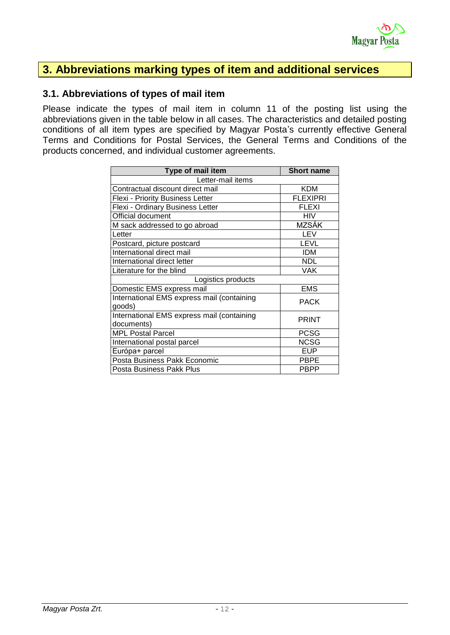

## **3. Abbreviations marking types of item and additional services**

#### **3.1. Abbreviations of types of mail item**

Please indicate the types of mail item in column 11 of the posting list using the abbreviations given in the table below in all cases. The characteristics and detailed posting conditions of all item types are specified by Magyar Posta's currently effective General Terms and Conditions for Postal Services, the General Terms and Conditions of the products concerned, and individual customer agreements.

| Type of mail item                          | <b>Short name</b> |  |
|--------------------------------------------|-------------------|--|
| Letter-mail items                          |                   |  |
| Contractual discount direct mail           | <b>KDM</b>        |  |
| Flexi - Priority Business Letter           | <b>FLEXIPRI</b>   |  |
| Flexi - Ordinary Business Letter           | <b>FLEXI</b>      |  |
| Official document                          | HIV               |  |
| M sack addressed to go abroad              | <b>MZSÁK</b>      |  |
| Letter                                     | LEV               |  |
| Postcard, picture postcard                 | LEVL              |  |
| International direct mail                  | <b>IDM</b>        |  |
| International direct letter                | <b>NDL</b>        |  |
| Literature for the blind                   | <b>VAK</b>        |  |
| Logistics products                         |                   |  |
| Domestic EMS express mail                  | <b>EMS</b>        |  |
| International EMS express mail (containing | <b>PACK</b>       |  |
| goods)                                     |                   |  |
| International EMS express mail (containing | PRINT             |  |
| documents)                                 |                   |  |
| <b>MPL Postal Parcel</b>                   | <b>PCSG</b>       |  |
| International postal parcel                | <b>NCSG</b>       |  |
| Európa+ parcel                             | <b>EUP</b>        |  |
| Posta Business Pakk Economic               | <b>PBPE</b>       |  |
| Posta Business Pakk Plus                   | <b>PBPP</b>       |  |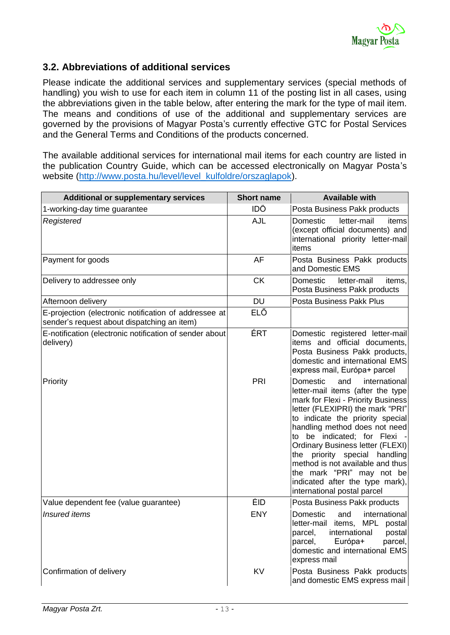#### **3.2. Abbreviations of additional services**

Please indicate the additional services and supplementary services (special methods of handling) you wish to use for each item in column 11 of the posting list in all cases, using the abbreviations given in the table below, after entering the mark for the type of mail item. The means and conditions of use of the additional and supplementary services are governed by the provisions of Magyar Posta's currently effective GTC for Postal Services and the General Terms and Conditions of the products concerned.

The available additional services for international mail items for each country are listed in the publication Country Guide, which can be accessed electronically on Magyar Posta's website [\(http://www.posta.hu/level/level\\_kulfoldre/orszaglapok\)](http://www.posta.hu/level/level_kulfoldre/orszaglapok).

| <b>Additional or supplementary services</b>                                                          | <b>Short name</b> | <b>Available with</b>                                                                                                                                                                                                                                                                                                                                                                                                                                             |
|------------------------------------------------------------------------------------------------------|-------------------|-------------------------------------------------------------------------------------------------------------------------------------------------------------------------------------------------------------------------------------------------------------------------------------------------------------------------------------------------------------------------------------------------------------------------------------------------------------------|
| 1-working-day time guarantee                                                                         | <b>IDŐ</b>        | Posta Business Pakk products                                                                                                                                                                                                                                                                                                                                                                                                                                      |
| Registered                                                                                           | AJL               | letter-mail<br>Domestic<br>items<br>(except official documents) and<br>international priority letter-mail<br>items                                                                                                                                                                                                                                                                                                                                                |
| Payment for goods                                                                                    | <b>AF</b>         | Posta Business Pakk products<br>and Domestic EMS                                                                                                                                                                                                                                                                                                                                                                                                                  |
| Delivery to addressee only                                                                           | <b>CK</b>         | Domestic<br>letter-mail<br>items,<br>Posta Business Pakk products                                                                                                                                                                                                                                                                                                                                                                                                 |
| Afternoon delivery                                                                                   | <b>DU</b>         | Posta Business Pakk Plus                                                                                                                                                                                                                                                                                                                                                                                                                                          |
| E-projection (electronic notification of addressee at<br>sender's request about dispatching an item) | ELŐ               |                                                                                                                                                                                                                                                                                                                                                                                                                                                                   |
| E-notification (electronic notification of sender about<br>delivery)                                 | ÉRT               | Domestic registered letter-mail<br>items and official documents,<br>Posta Business Pakk products,<br>domestic and international EMS<br>express mail, Európa+ parcel                                                                                                                                                                                                                                                                                               |
| Priority                                                                                             | PRI               | Domestic<br>international<br>and<br>letter-mail items (after the type<br>mark for Flexi - Priority Business<br>letter (FLEXIPRI) the mark "PRI"<br>to indicate the priority special<br>handling method does not need<br>to be indicated; for Flexi<br><b>Ordinary Business letter (FLEXI)</b><br>the priority special handling<br>method is not available and thus<br>the mark "PRI" may not be<br>indicated after the type mark),<br>international postal parcel |
| Value dependent fee (value guarantee)                                                                | ÉID               | Posta Business Pakk products                                                                                                                                                                                                                                                                                                                                                                                                                                      |
| <b>Insured</b> items                                                                                 | <b>ENY</b>        | Domestic<br>and<br>international<br>MPL<br>letter-mail items,<br>postal<br>international<br>postal<br>parcel,<br>Európa+<br>parcel,<br>parcel,<br>domestic and international EMS<br>express mail                                                                                                                                                                                                                                                                  |
| Confirmation of delivery                                                                             | KV                | Posta Business Pakk products<br>and domestic EMS express mail                                                                                                                                                                                                                                                                                                                                                                                                     |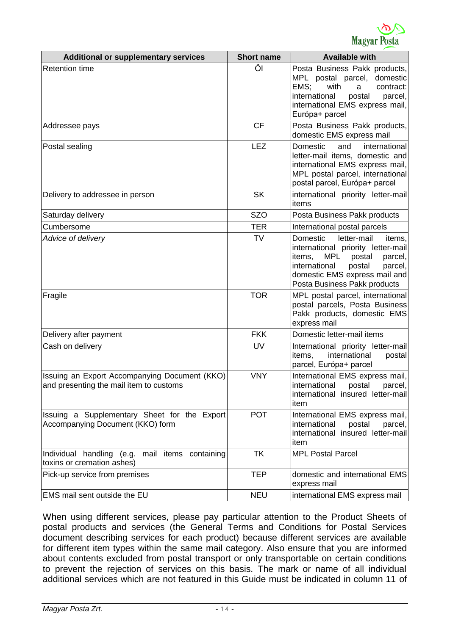

| <b>Additional or supplementary services</b>                                              | <b>Short name</b> | <b>Available with</b>                                                                                                                                                                                                |
|------------------------------------------------------------------------------------------|-------------------|----------------------------------------------------------------------------------------------------------------------------------------------------------------------------------------------------------------------|
| <b>Retention time</b>                                                                    | Öl                | Posta Business Pakk products,<br>MPL postal parcel,<br>domestic<br>EMS;<br>with<br>contract:<br>a<br>international<br>postal<br>parcel,<br>international EMS express mail,<br>Európa+ parcel                         |
| Addressee pays                                                                           | <b>CF</b>         | Posta Business Pakk products,<br>domestic EMS express mail                                                                                                                                                           |
| Postal sealing                                                                           | <b>LEZ</b>        | Domestic<br>international<br>and<br>letter-mail items, domestic and<br>international EMS express mail,<br>MPL postal parcel, international<br>postal parcel, Európa+ parcel                                          |
| Delivery to addressee in person                                                          | <b>SK</b>         | international priority letter-mail<br>items                                                                                                                                                                          |
| Saturday delivery                                                                        | <b>SZO</b>        | Posta Business Pakk products                                                                                                                                                                                         |
| Cumbersome                                                                               | <b>TER</b>        | International postal parcels                                                                                                                                                                                         |
| Advice of delivery                                                                       | <b>TV</b>         | Domestic<br>letter-mail<br>items.<br>international priority letter-mail<br>MPL<br>items,<br>postal<br>parcel,<br>international<br>postal<br>parcel,<br>domestic EMS express mail and<br>Posta Business Pakk products |
| Fragile                                                                                  | <b>TOR</b>        | MPL postal parcel, international<br>postal parcels, Posta Business<br>Pakk products, domestic EMS<br>express mail                                                                                                    |
| Delivery after payment                                                                   | <b>FKK</b>        | Domestic letter-mail items                                                                                                                                                                                           |
| Cash on delivery                                                                         | UV                | International priority letter-mail<br>international<br>items.<br>postal<br>parcel, Európa+ parcel                                                                                                                    |
| Issuing an Export Accompanying Document (KKO)<br>and presenting the mail item to customs | <b>VNY</b>        | International EMS express mail,<br>international<br>postal<br>parcel,<br>international insured letter-mail<br>item                                                                                                   |
| Issuing a Supplementary Sheet for the Export<br>Accompanying Document (KKO) form         | <b>POT</b>        | International EMS express mail,<br>international<br>postal<br>parcel,<br>international insured letter-mail<br>item                                                                                                   |
| Individual handling (e.g. mail items containing<br>toxins or cremation ashes)            | <b>TK</b>         | <b>MPL Postal Parcel</b>                                                                                                                                                                                             |
| Pick-up service from premises                                                            | <b>TEP</b>        | domestic and international EMS<br>express mail                                                                                                                                                                       |
| EMS mail sent outside the EU                                                             | <b>NEU</b>        | international EMS express mail                                                                                                                                                                                       |

When using different services, please pay particular attention to the Product Sheets of postal products and services (the General Terms and Conditions for Postal Services document describing services for each product) because different services are available for different item types within the same mail category. Also ensure that you are informed about contents excluded from postal transport or only transportable on certain conditions to prevent the rejection of services on this basis. The mark or name of all individual additional services which are not featured in this Guide must be indicated in column 11 of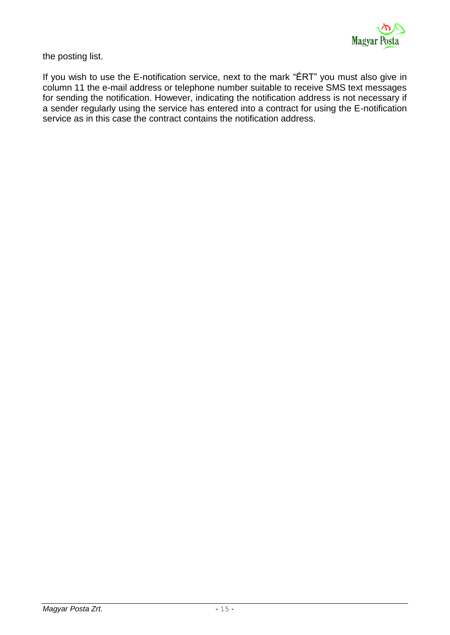the posting list.

If you wish to use the E-notification service, next to the mark "ÉRT" you must also give in column 11 the e-mail address or telephone number suitable to receive SMS text messages for sending the notification. However, indicating the notification address is not necessary if a sender regularly using the service has entered into a contract for using the E-notification service as in this case the contract contains the notification address.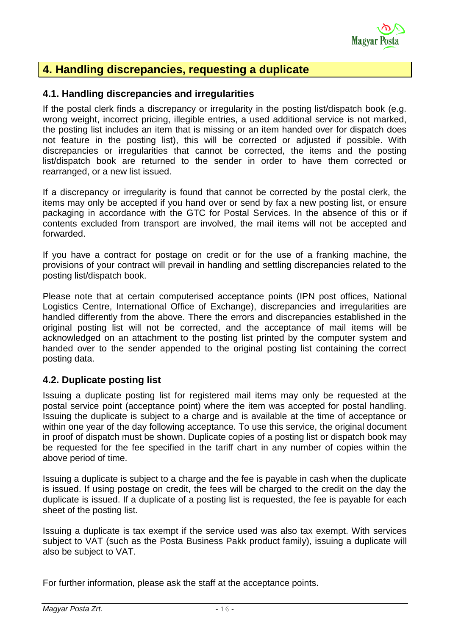

# **4. Handling discrepancies, requesting a duplicate**

#### **4.1. Handling discrepancies and irregularities**

If the postal clerk finds a discrepancy or irregularity in the posting list/dispatch book (e.g. wrong weight, incorrect pricing, illegible entries, a used additional service is not marked, the posting list includes an item that is missing or an item handed over for dispatch does not feature in the posting list), this will be corrected or adjusted if possible. With discrepancies or irregularities that cannot be corrected, the items and the posting list/dispatch book are returned to the sender in order to have them corrected or rearranged, or a new list issued.

If a discrepancy or irregularity is found that cannot be corrected by the postal clerk, the items may only be accepted if you hand over or send by fax a new posting list, or ensure packaging in accordance with the GTC for Postal Services. In the absence of this or if contents excluded from transport are involved, the mail items will not be accepted and forwarded.

If you have a contract for postage on credit or for the use of a franking machine, the provisions of your contract will prevail in handling and settling discrepancies related to the posting list/dispatch book.

Please note that at certain computerised acceptance points (IPN post offices, National Logistics Centre, International Office of Exchange), discrepancies and irregularities are handled differently from the above. There the errors and discrepancies established in the original posting list will not be corrected, and the acceptance of mail items will be acknowledged on an attachment to the posting list printed by the computer system and handed over to the sender appended to the original posting list containing the correct posting data.

#### **4.2. Duplicate posting list**

Issuing a duplicate posting list for registered mail items may only be requested at the postal service point (acceptance point) where the item was accepted for postal handling. Issuing the duplicate is subject to a charge and is available at the time of acceptance or within one year of the day following acceptance. To use this service, the original document in proof of dispatch must be shown. Duplicate copies of a posting list or dispatch book may be requested for the fee specified in the tariff chart in any number of copies within the above period of time.

Issuing a duplicate is subject to a charge and the fee is payable in cash when the duplicate is issued. If using postage on credit, the fees will be charged to the credit on the day the duplicate is issued. If a duplicate of a posting list is requested, the fee is payable for each sheet of the posting list.

Issuing a duplicate is tax exempt if the service used was also tax exempt. With services subject to VAT (such as the Posta Business Pakk product family), issuing a duplicate will also be subject to VAT.

For further information, please ask the staff at the acceptance points.